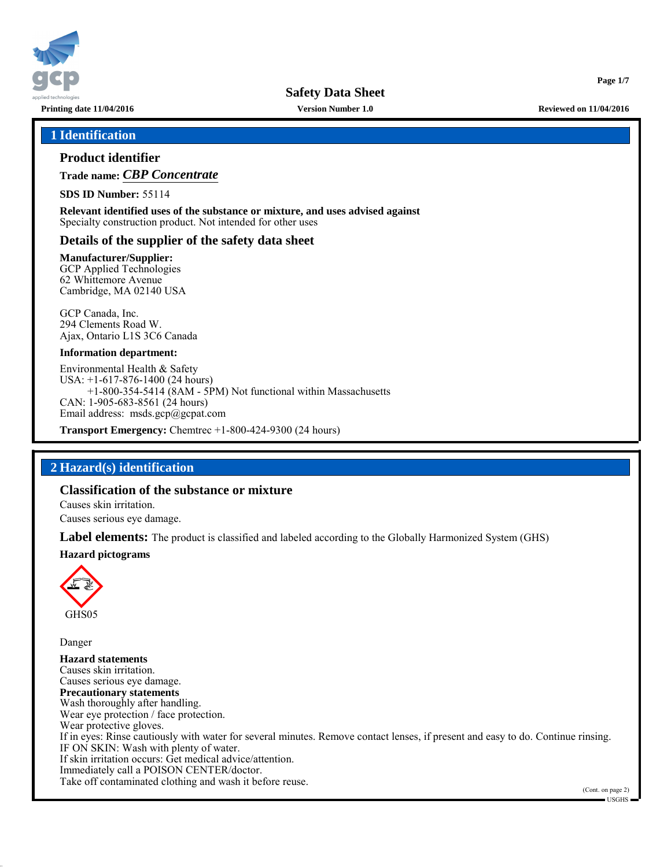

**1 Identification**

## **Product identifier**

**Trade name:** *CBP Concentrate*

**SDS ID Number:** 55114

**Relevant identified uses of the substance or mixture, and uses advised against** Specialty construction product. Not intended for other uses

## **Details of the supplier of the safety data sheet**

**Manufacturer/Supplier:**

GCP Applied Technologies 62 Whittemore Avenue Cambridge, MA 02140 USA

GCP Canada, Inc. 294 Clements Road W. Ajax, Ontario L1S 3C6 Canada

### **Information department:**

Environmental Health & Safety USA: +1-617-876-1400 (24 hours) +1-800-354-5414 (8AM - 5PM) Not functional within Massachusetts CAN: 1-905-683-8561 (24 hours) Email address: msds.gcp@gcpat.com

**Transport Emergency:** Chemtrec +1-800-424-9300 (24 hours)

## **2 Hazard(s) identification**

## **Classification of the substance or mixture**

Causes skin irritation.

Causes serious eye damage.

**Label elements:** The product is classified and labeled according to the Globally Harmonized System (GHS)

### **Hazard pictograms**



Danger

**Hazard statements** Causes skin irritation. Causes serious eye damage. **Precautionary statements** Wash thoroughly after handling. Wear eye protection / face protection. Wear protective gloves. If in eyes: Rinse cautiously with water for several minutes. Remove contact lenses, if present and easy to do. Continue rinsing. IF ON SKIN: Wash with plenty of water. If skin irritation occurs: Get medical advice/attention. Immediately call a POISON CENTER/doctor. Take off contaminated clothing and wash it before reuse.

**Page 1/7**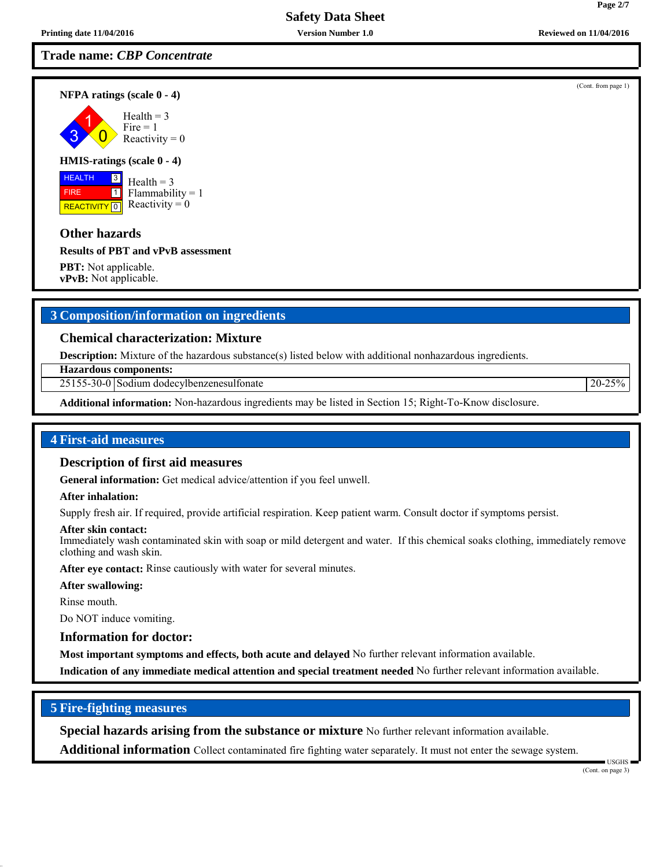### **Trade name:** *CBP Concentrate*

**NFPA ratings (scale 0 - 4)**

3 1  $\overline{0}$ Health  $= 3$  $Fire = 1$ Reactivity  $= 0$ 

#### **HMIS-ratings (scale 0 - 4)**

 HEALTH FIRE <mark>| REACTIVITY</mark> | 0 3  $\boxed{1}$ Health  $= 3$  $Flammability = 1$ Reactivity  $= 0$ 

## **Other hazards**

#### **Results of PBT and vPvB assessment**

**PBT:** Not applicable. **vPvB:** Not applicable.

## **3 Composition/information on ingredients**

### **Chemical characterization: Mixture**

**Description:** Mixture of the hazardous substance(s) listed below with additional nonhazardous ingredients.

**Hazardous components:**

25155-30-0 Sodium dodecylbenzenesulfonate 20-25%

**Additional information:** Non-hazardous ingredients may be listed in Section 15; Right-To-Know disclosure.

#### **4 First-aid measures**

#### **Description of first aid measures**

**General information:** Get medical advice/attention if you feel unwell.

#### **After inhalation:**

Supply fresh air. If required, provide artificial respiration. Keep patient warm. Consult doctor if symptoms persist.

#### **After skin contact:**

Immediately wash contaminated skin with soap or mild detergent and water. If this chemical soaks clothing, immediately remove clothing and wash skin.

**After eye contact:** Rinse cautiously with water for several minutes.

#### **After swallowing:**

Rinse mouth.

Do NOT induce vomiting.

#### **Information for doctor:**

**Most important symptoms and effects, both acute and delayed** No further relevant information available.

**Indication of any immediate medical attention and special treatment needed** No further relevant information available.

### **5 Fire-fighting measures**

**Special hazards arising from the substance or mixture** No further relevant information available.

**Additional information** Collect contaminated fire fighting water separately. It must not enter the sewage system.

USGHS

(Cont. from page 1)

**Page 2/7**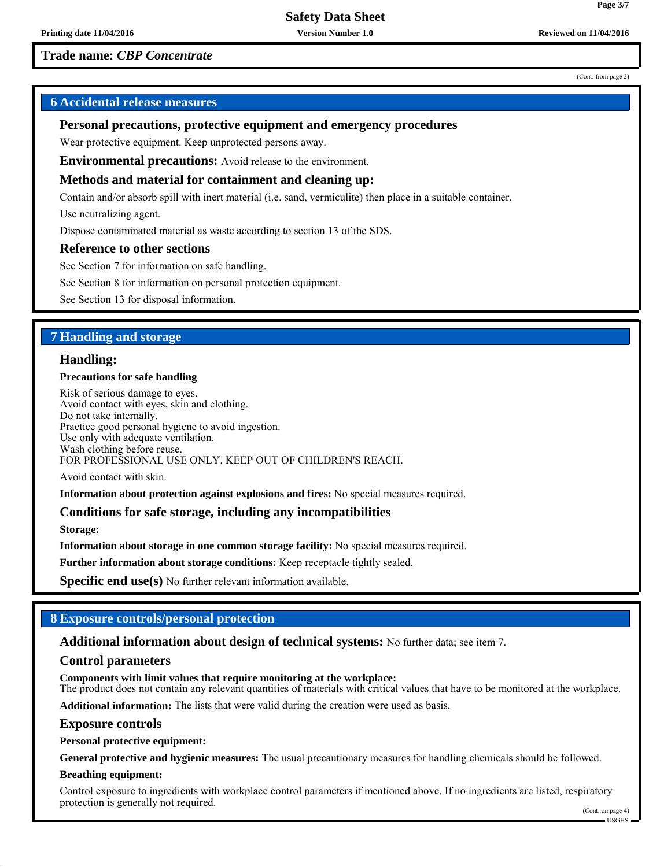## **Trade name:** *CBP Concentrate*

#### (Cont. from page 2)

**Page 3/7**

### **6 Accidental release measures**

### **Personal precautions, protective equipment and emergency procedures**

Wear protective equipment. Keep unprotected persons away.

**Environmental precautions:** Avoid release to the environment.

### **Methods and material for containment and cleaning up:**

Contain and/or absorb spill with inert material (i.e. sand, vermiculite) then place in a suitable container.

Use neutralizing agent.

Dispose contaminated material as waste according to section 13 of the SDS.

#### **Reference to other sections**

See Section 7 for information on safe handling.

See Section 8 for information on personal protection equipment.

See Section 13 for disposal information.

## **7 Handling and storage**

## **Handling:**

#### **Precautions for safe handling**

Risk of serious damage to eyes. Avoid contact with eyes, skin and clothing. Do not take internally. Practice good personal hygiene to avoid ingestion. Use only with adequate ventilation. Wash clothing before reuse. FOR PROFESSIONAL USE ONLY. KEEP OUT OF CHILDREN'S REACH.

Avoid contact with skin.

**Information about protection against explosions and fires:** No special measures required.

#### **Conditions for safe storage, including any incompatibilities**

**Storage:**

**Information about storage in one common storage facility:** No special measures required.

**Further information about storage conditions:** Keep receptacle tightly sealed.

**Specific end use(s)** No further relevant information available.

### **8 Exposure controls/personal protection**

**Additional information about design of technical systems:** No further data; see item 7.

#### **Control parameters**

**Components with limit values that require monitoring at the workplace:** The product does not contain any relevant quantities of materials with critical values that have to be monitored at the workplace.

**Additional information:** The lists that were valid during the creation were used as basis.

#### **Exposure controls**

**Personal protective equipment:**

**General protective and hygienic measures:** The usual precautionary measures for handling chemicals should be followed.

#### **Breathing equipment:**

Control exposure to ingredients with workplace control parameters if mentioned above. If no ingredients are listed, respiratory protection is generally not required.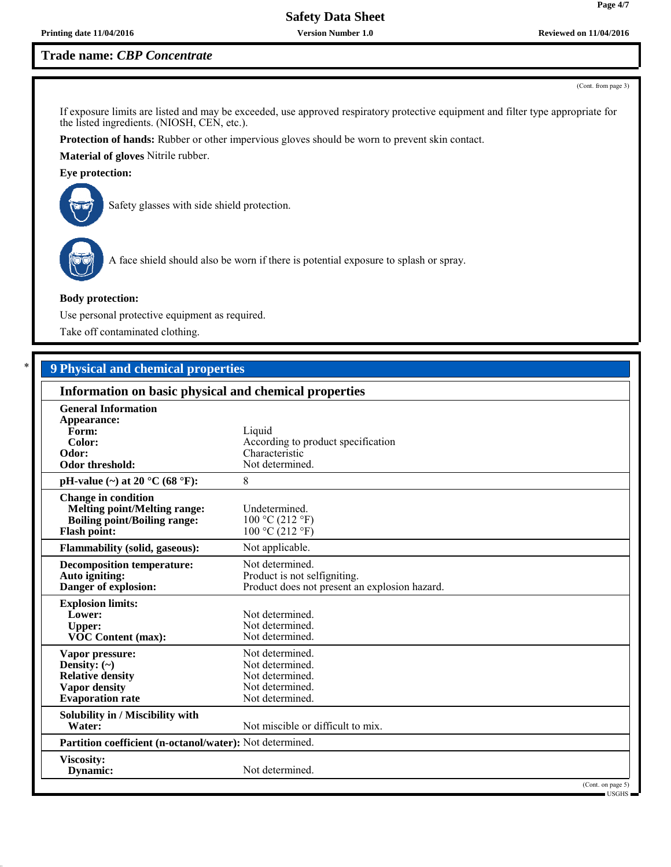#### **Printing date 11/04/2016 Version Number 1.0 Reviewed on 11/04/2016**

## **Trade name:** *CBP Concentrate*

(Cont. from page 3)

If exposure limits are listed and may be exceeded, use approved respiratory protective equipment and filter type appropriate for the listed ingredients. (NIOSH, CEN, etc.).

**Protection of hands:** Rubber or other impervious gloves should be worn to prevent skin contact.

**Material of gloves** Nitrile rubber.

## **Eye protection:**



Safety glasses with side shield protection.



A face shield should also be worn if there is potential exposure to splash or spray.

#### **Body protection:**

Use personal protective equipment as required.

Take off contaminated clothing.

## \* **9 Physical and chemical properties**

| Information on basic physical and chemical properties                                                                           |                                                                                                  |
|---------------------------------------------------------------------------------------------------------------------------------|--------------------------------------------------------------------------------------------------|
| <b>General Information</b><br>Appearance:<br>Form:<br>Color:<br>Odor:<br>Odor threshold:                                        | Liquid<br>According to product specification<br>Characteristic<br>Not determined.                |
| pH-value $(\sim)$ at 20 °C (68 °F):                                                                                             | 8                                                                                                |
| <b>Change in condition</b><br><b>Melting point/Melting range:</b><br><b>Boiling point/Boiling range:</b><br><b>Flash point:</b> | Undetermined.<br>100 °C (212 °F)<br>100 °C (212 °F)                                              |
| <b>Flammability (solid, gaseous):</b>                                                                                           | Not applicable.                                                                                  |
| <b>Decomposition temperature:</b><br>Auto igniting:<br>Danger of explosion:                                                     | Not determined.<br>Product is not selfigniting.<br>Product does not present an explosion hazard. |
| <b>Explosion limits:</b><br>Lower:<br><b>Upper:</b><br><b>VOC Content (max):</b>                                                | Not determined.<br>Not determined.<br>Not determined.                                            |
| Vapor pressure:<br>Density: $(\sim)$<br><b>Relative density</b><br><b>Vapor density</b><br><b>Evaporation</b> rate              | Not determined.<br>Not determined.<br>Not determined.<br>Not determined.<br>Not determined.      |
| Solubility in / Miscibility with<br>Water:                                                                                      | Not miscible or difficult to mix.                                                                |
| Partition coefficient (n-octanol/water): Not determined.                                                                        |                                                                                                  |
| Viscosity:<br>Dynamic:                                                                                                          | Not determined.                                                                                  |
|                                                                                                                                 | (Cont. on page 5)<br>- USGHS -                                                                   |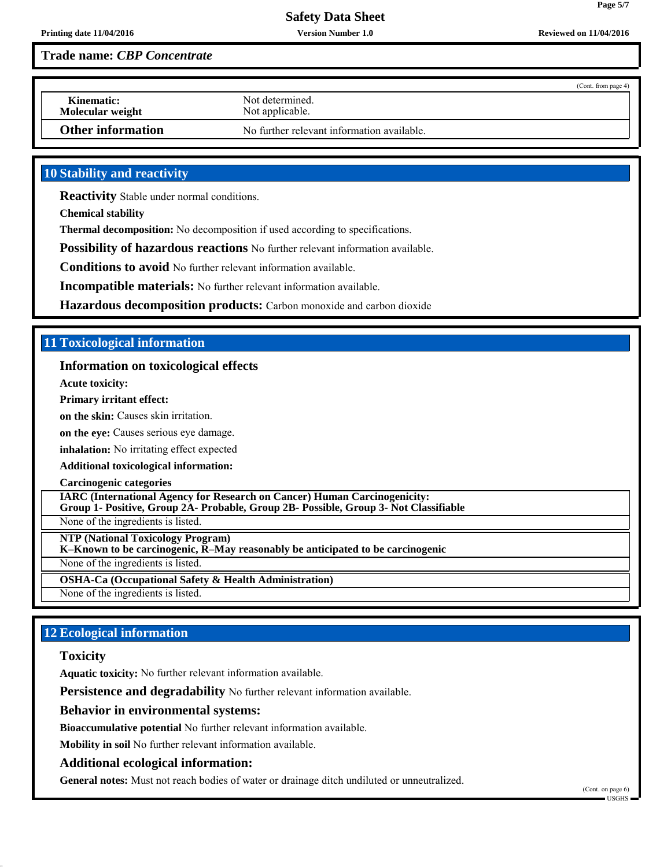**Page 5/7**

## **Trade name:** *CBP Concentrate*

|                                       |                                            | (Cont. from page 4) |
|---------------------------------------|--------------------------------------------|---------------------|
| <b>Kinematic:</b><br>Molecular weight | Not determined.<br>Not applicable.         |                     |
| <b>Other information</b>              | No further relevant information available. |                     |

## **10 Stability and reactivity**

**Reactivity** Stable under normal conditions.

**Chemical stability**

**Thermal decomposition:** No decomposition if used according to specifications.

**Possibility of hazardous reactions** No further relevant information available.

**Conditions to avoid** No further relevant information available.

**Incompatible materials:** No further relevant information available.

**Hazardous decomposition products:** Carbon monoxide and carbon dioxide

## **11 Toxicological information**

#### **Information on toxicological effects**

**Acute toxicity:**

**Primary irritant effect:**

**on the skin:** Causes skin irritation.

**on the eye:** Causes serious eye damage.

**inhalation:** No irritating effect expected

**Additional toxicological information:**

**Carcinogenic categories**

**IARC (International Agency for Research on Cancer) Human Carcinogenicity: Group 1- Positive, Group 2A- Probable, Group 2B- Possible, Group 3- Not Classifiable**

None of the ingredients is listed.

**NTP (National Toxicology Program)**

**K–Known to be carcinogenic, R–May reasonably be anticipated to be carcinogenic**

None of the ingredients is listed.

**OSHA-Ca (Occupational Safety & Health Administration)**

None of the ingredients is listed.

## **12 Ecological information**

#### **Toxicity**

**Aquatic toxicity:** No further relevant information available.

Persistence and degradability No further relevant information available.

**Behavior in environmental systems:**

**Bioaccumulative potential** No further relevant information available.

**Mobility in soil** No further relevant information available.

## **Additional ecological information:**

**General notes:** Must not reach bodies of water or drainage ditch undiluted or unneutralized.

(Cont. on page 6)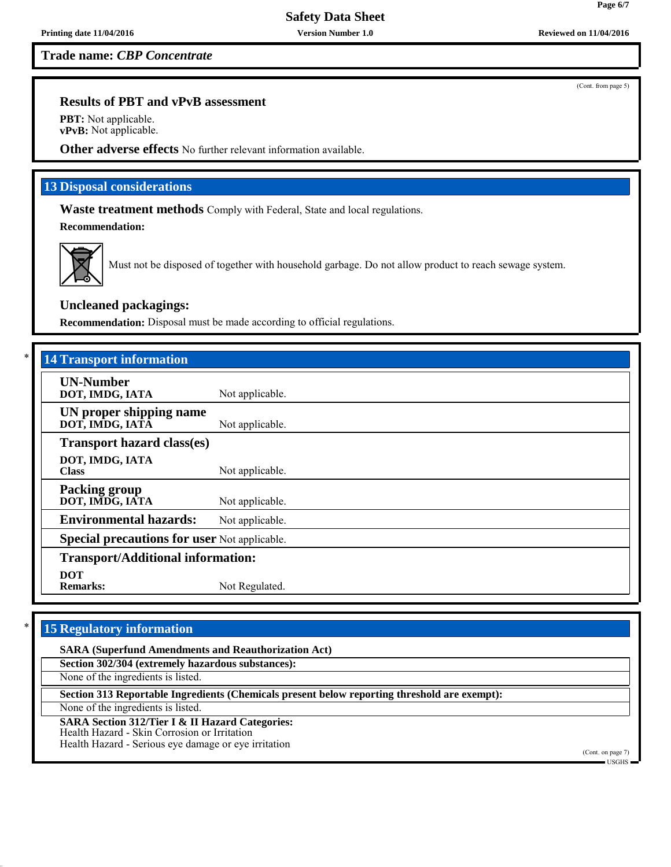**Trade name:** *CBP Concentrate*

## **Results of PBT and vPvB assessment**

**PBT:** Not applicable. **vPvB:** Not applicable.

**Other adverse effects** No further relevant information available.

## **13 Disposal considerations**

**Waste treatment methods** Comply with Federal, State and local regulations.

**Recommendation:**



Must not be disposed of together with household garbage. Do not allow product to reach sewage system.

## **Uncleaned packagings:**

**Recommendation:** Disposal must be made according to official regulations.

| <b>14 Transport information</b>                     |                 |
|-----------------------------------------------------|-----------------|
| <b>UN-Number</b><br>DOT, IMDG, IATA                 | Not applicable. |
| UN proper shipping name<br>DOT, IMDG, IATA          | Not applicable. |
| <b>Transport hazard class(es)</b>                   |                 |
| DOT, IMDG, IATA<br><b>Class</b>                     | Not applicable. |
| <b>Packing group</b><br>DOT, IMDG, IATA             | Not applicable. |
| <b>Environmental hazards:</b>                       | Not applicable. |
| <b>Special precautions for user Not applicable.</b> |                 |
| <b>Transport/Additional information:</b>            |                 |
| <b>DOT</b><br><b>Remarks:</b>                       | Not Regulated.  |

## **15 Regulatory information**

**SARA (Superfund Amendments and Reauthorization Act)**

**Section 302/304 (extremely hazardous substances):**

None of the ingredients is listed.

**Section 313 Reportable Ingredients (Chemicals present below reporting threshold are exempt):**

None of the ingredients is listed.

**SARA Section 312/Tier I & II Hazard Categories:**

Health Hazard - Skin Corrosion or Irritation

Health Hazard - Serious eye damage or eye irritation

(Cont. on page 7) USGHS

(Cont. from page 5)